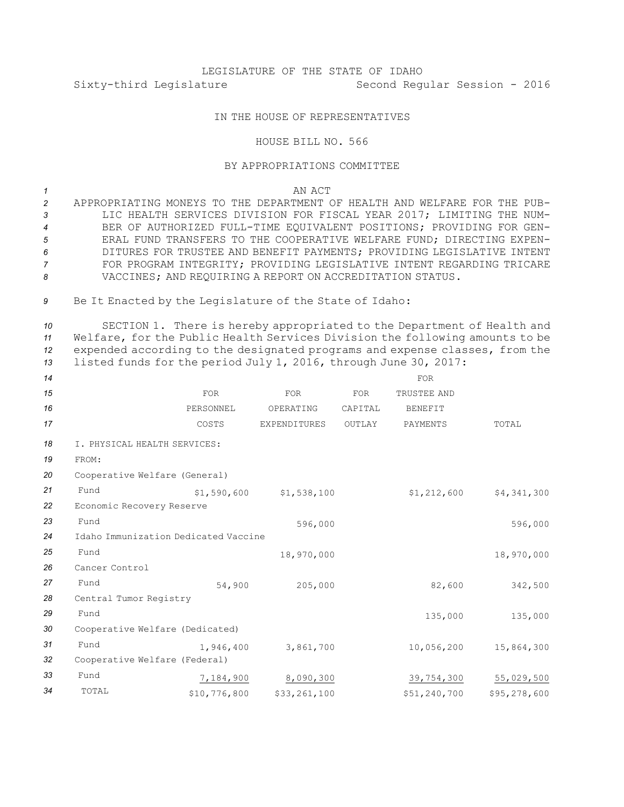## LEGISLATURE OF THE STATE OF IDAHO Sixty-third Legislature Second Regular Session - 2016

## IN THE HOUSE OF REPRESENTATIVES

## HOUSE BILL NO. 566

## BY APPROPRIATIONS COMMITTEE

*1* AN ACT

 APPROPRIATING MONEYS TO THE DEPARTMENT OF HEALTH AND WELFARE FOR THE PUB- LIC HEALTH SERVICES DIVISION FOR FISCAL YEAR 2017; LIMITING THE NUM- BER OF AUTHORIZED FULL-TIME EQUIVALENT POSITIONS; PROVIDING FOR GEN- ERAL FUND TRANSFERS TO THE COOPERATIVE WELFARE FUND; DIRECTING EXPEN- DITURES FOR TRUSTEE AND BENEFIT PAYMENTS; PROVIDING LEGISLATIVE INTENT FOR PROGRAM INTEGRITY; PROVIDING LEGISLATIVE INTENT REGARDING TRICARE VACCINES; AND REQUIRING A REPORT ON ACCREDITATION STATUS.

*<sup>9</sup>* Be It Enacted by the Legislature of the State of Idaho:

 SECTION 1. There is hereby appropriated to the Department of Health and Welfare, for the Public Health Services Division the following amounts to be expended according to the designated programs and expense classes, from the listed funds for the period July 1, 2016, through June 30, 2017:

| 14 |                                      |              |              |         | <b>FOR</b>   |              |  |
|----|--------------------------------------|--------------|--------------|---------|--------------|--------------|--|
| 15 |                                      | <b>FOR</b>   | <b>FOR</b>   | FOR     | TRUSTEE AND  |              |  |
| 16 |                                      | PERSONNEL    | OPERATING    | CAPITAL | BENEFIT      |              |  |
| 17 |                                      | COSTS        | EXPENDITURES | OUTLAY  | PAYMENTS     | TOTAL        |  |
| 18 | I. PHYSICAL HEALTH SERVICES:         |              |              |         |              |              |  |
| 19 | FROM:                                |              |              |         |              |              |  |
| 20 | Cooperative Welfare (General)        |              |              |         |              |              |  |
| 21 | Fund                                 | \$1,590,600  | \$1,538,100  |         | \$1,212,600  | \$4,341,300  |  |
| 22 | Economic Recovery Reserve            |              |              |         |              |              |  |
| 23 | Fund                                 |              | 596,000      |         |              | 596,000      |  |
| 24 | Idaho Immunization Dedicated Vaccine |              |              |         |              |              |  |
| 25 | Fund                                 |              | 18,970,000   |         |              | 18,970,000   |  |
| 26 | Cancer Control                       |              |              |         |              |              |  |
| 27 | Fund                                 | 54,900       | 205,000      |         | 82,600       | 342,500      |  |
| 28 | Central Tumor Registry               |              |              |         |              |              |  |
| 29 | Fund                                 |              |              |         | 135,000      | 135,000      |  |
| 30 | Cooperative Welfare (Dedicated)      |              |              |         |              |              |  |
| 31 | Fund                                 | 1,946,400    | 3,861,700    |         | 10,056,200   | 15,864,300   |  |
| 32 | Cooperative Welfare (Federal)        |              |              |         |              |              |  |
| 33 | Fund                                 | 7,184,900    | 8,090,300    |         | 39,754,300   | 55,029,500   |  |
| 34 | TOTAL                                | \$10,776,800 | \$33,261,100 |         | \$51,240,700 | \$95,278,600 |  |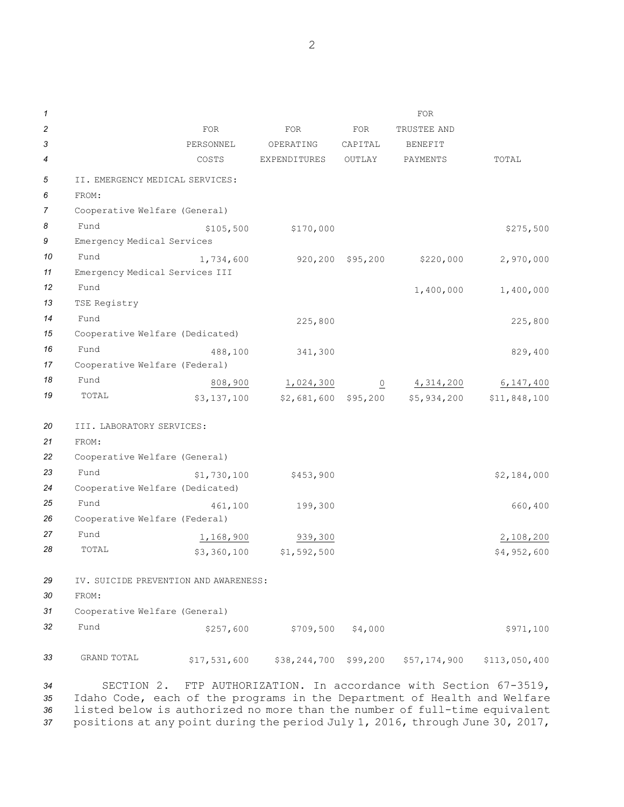| $\mathcal I$ |                                       |              |              |                | <b>FOR</b>     |               |
|--------------|---------------------------------------|--------------|--------------|----------------|----------------|---------------|
| 2            |                                       | <b>FOR</b>   | <b>FOR</b>   | <b>FOR</b>     | TRUSTEE AND    |               |
| 3            |                                       | PERSONNEL    | OPERATING    | CAPITAL        | <b>BENEFIT</b> |               |
| 4            |                                       | COSTS        | EXPENDITURES | OUTLAY         | PAYMENTS       | TOTAL         |
| 5            | II. EMERGENCY MEDICAL SERVICES:       |              |              |                |                |               |
| 6            | FROM:                                 |              |              |                |                |               |
| 7            | Cooperative Welfare (General)         |              |              |                |                |               |
| 8            | Fund                                  | \$105,500    |              |                |                | \$275,500     |
| 9            | Emergency Medical Services            |              | \$170,000    |                |                |               |
| 10           | Fund                                  | 1,734,600    | 920,200      | \$95,200       | \$220,000      | 2,970,000     |
| 11           | Emergency Medical Services III        |              |              |                |                |               |
| 12           | Fund                                  |              |              |                | 1,400,000      | 1,400,000     |
| 13           | TSE Registry                          |              |              |                |                |               |
| 14           | Fund                                  |              | 225,800      |                |                | 225,800       |
| 15           | Cooperative Welfare (Dedicated)       |              |              |                |                |               |
| 16           | Fund                                  | 488,100      | 341,300      |                |                | 829,400       |
| 17           | Cooperative Welfare (Federal)         |              |              |                |                |               |
| 18           | Fund                                  | 808,900      | 1,024,300    | $\overline{0}$ | 4,314,200      | 6,147,400     |
| 19           | TOTAL                                 | \$3,137,100  | \$2,681,600  | \$95,200       | \$5,934,200    | \$11,848,100  |
|              |                                       |              |              |                |                |               |
| 20           | III. LABORATORY SERVICES:             |              |              |                |                |               |
| 21           | FROM:                                 |              |              |                |                |               |
| 22           | Cooperative Welfare (General)         |              |              |                |                |               |
| 23           | Fund                                  | \$1,730,100  | \$453,900    |                |                | \$2,184,000   |
| 24           | Cooperative Welfare (Dedicated)       |              |              |                |                |               |
| 25           | Fund                                  | 461,100      | 199,300      |                |                | 660,400       |
| 26           | Cooperative Welfare (Federal)         |              |              |                |                |               |
| 27           | Fund                                  | 1,168,900    | 939,300      |                |                | 2,108,200     |
| 28           | TOTAL                                 | \$3,360,100  | \$1,592,500  |                |                | \$4,952,600   |
|              |                                       |              |              |                |                |               |
| 29           | IV. SUICIDE PREVENTION AND AWARENESS: |              |              |                |                |               |
| 30           | FROM:                                 |              |              |                |                |               |
| 31           | Cooperative Welfare (General)         |              |              |                |                |               |
| 32           | Fund                                  | \$257,600    | \$709,500    | \$4,000        |                | \$971,100     |
|              |                                       |              |              |                |                |               |
| 33           | GRAND TOTAL                           | \$17,531,600 | \$38,244,700 | \$99,200       | \$57,174,900   | \$113,050,400 |

 SECTION 2. FTP AUTHORIZATION. In accordance with Section 67-3519, Idaho Code, each of the programs in the Department of Health and Welfare listed below is authorized no more than the number of full-time equivalent positions at any point during the period July 1, 2016, through June 30, 2017,

2